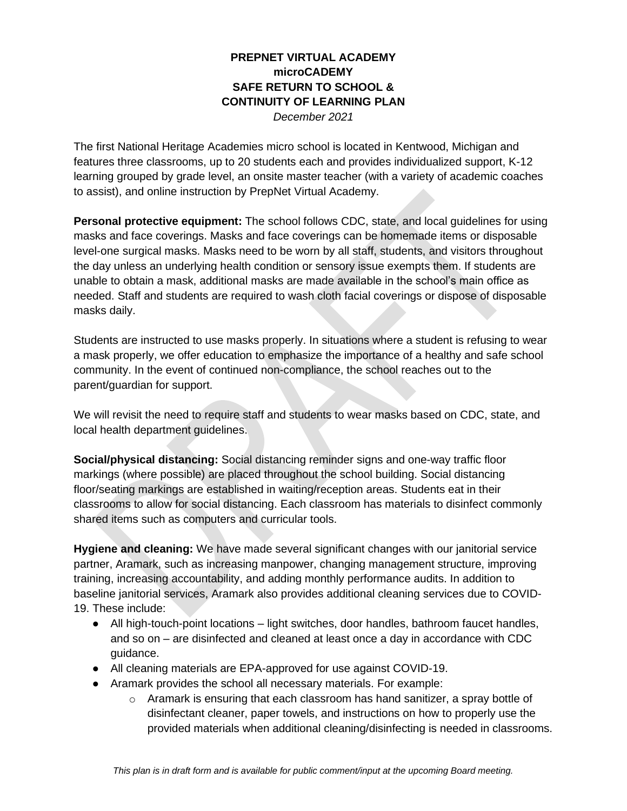## **PREPNET VIRTUAL ACADEMY microCADEMY SAFE RETURN TO SCHOOL & CONTINUITY OF LEARNING PLAN**

*December 2021*

The first National Heritage Academies micro school is located in Kentwood, Michigan and features three classrooms, up to 20 students each and provides individualized support, K-12 learning grouped by grade level, an onsite master teacher (with a variety of academic coaches to assist), and online instruction by PrepNet Virtual Academy.

**Personal protective equipment:** The school follows CDC, state, and local guidelines for using masks and face coverings. Masks and face coverings can be homemade items or disposable level-one surgical masks. Masks need to be worn by all staff, students, and visitors throughout the day unless an underlying health condition or sensory issue exempts them. If students are unable to obtain a mask, additional masks are made available in the school's main office as needed. Staff and students are required to wash cloth facial coverings or dispose of disposable masks daily.

Students are instructed to use masks properly. In situations where a student is refusing to wear a mask properly, we offer education to emphasize the importance of a healthy and safe school community. In the event of continued non-compliance, the school reaches out to the parent/guardian for support.

We will revisit the need to require staff and students to wear masks based on CDC, state, and local health department guidelines.

**Social/physical distancing:** Social distancing reminder signs and one-way traffic floor markings (where possible) are placed throughout the school building. Social distancing floor/seating markings are established in waiting/reception areas. Students eat in their classrooms to allow for social distancing. Each classroom has materials to disinfect commonly shared items such as computers and curricular tools.

**Hygiene and cleaning:** We have made several significant changes with our janitorial service partner, Aramark, such as increasing manpower, changing management structure, improving training, increasing accountability, and adding monthly performance audits. In addition to baseline janitorial services, Aramark also provides additional cleaning services due to COVID-19. These include:

- All high-touch-point locations light switches, door handles, bathroom faucet handles, and so on – are disinfected and cleaned at least once a day in accordance with CDC guidance.
- All cleaning materials are EPA-approved for use against COVID-19.
- Aramark provides the school all necessary materials. For example:
	- $\circ$  Aramark is ensuring that each classroom has hand sanitizer, a spray bottle of disinfectant cleaner, paper towels, and instructions on how to properly use the provided materials when additional cleaning/disinfecting is needed in classrooms.

*This plan is in draft form and is available for public comment/input at the upcoming Board meeting.*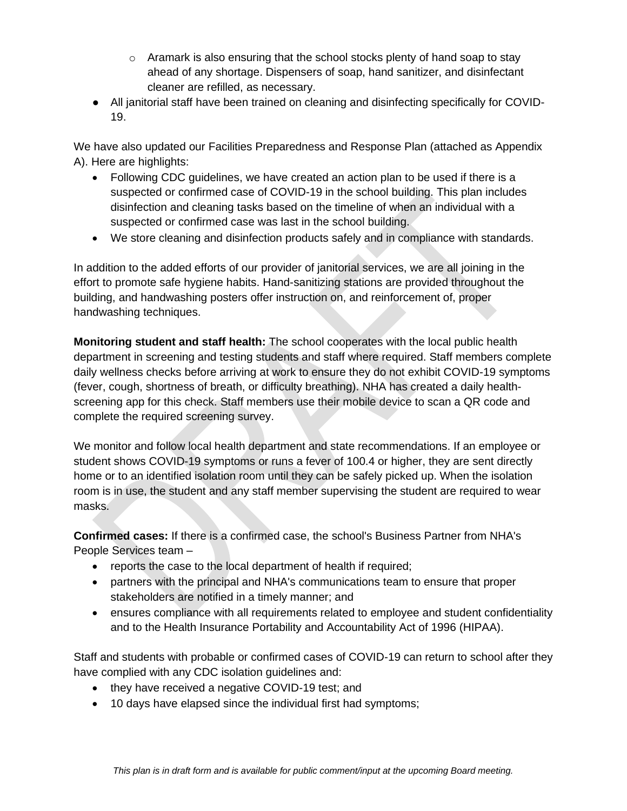- $\circ$  Aramark is also ensuring that the school stocks plenty of hand soap to stay ahead of any shortage. Dispensers of soap, hand sanitizer, and disinfectant cleaner are refilled, as necessary.
- All janitorial staff have been trained on cleaning and disinfecting specifically for COVID-19.

We have also updated our Facilities Preparedness and Response Plan (attached as Appendix A). Here are highlights:

- Following CDC guidelines, we have created an action plan to be used if there is a suspected or confirmed case of COVID-19 in the school building. This plan includes disinfection and cleaning tasks based on the timeline of when an individual with a suspected or confirmed case was last in the school building.
- We store cleaning and disinfection products safely and in compliance with standards.

In addition to the added efforts of our provider of janitorial services, we are all joining in the effort to promote safe hygiene habits. Hand-sanitizing stations are provided throughout the building, and handwashing posters offer instruction on, and reinforcement of, proper handwashing techniques.

**Monitoring student and staff health:** The school cooperates with the local public health department in screening and testing students and staff where required. Staff members complete daily wellness checks before arriving at work to ensure they do not exhibit COVID-19 symptoms (fever, cough, shortness of breath, or difficulty breathing). NHA has created a daily healthscreening app for this check. Staff members use their mobile device to scan a QR code and complete the required screening survey.

We monitor and follow local health department and state recommendations. If an employee or student shows COVID-19 symptoms or runs a fever of 100.4 or higher, they are sent directly home or to an identified isolation room until they can be safely picked up. When the isolation room is in use, the student and any staff member supervising the student are required to wear masks.

**Confirmed cases:** If there is a confirmed case, the school's Business Partner from NHA's People Services team –

- reports the case to the local department of health if required;
- partners with the principal and NHA's communications team to ensure that proper stakeholders are notified in a timely manner; and
- ensures compliance with all requirements related to employee and student confidentiality and to the Health Insurance Portability and Accountability Act of 1996 (HIPAA).

Staff and students with probable or confirmed cases of COVID-19 can return to school after they have complied with any CDC isolation guidelines and:

- they have received a negative COVID-19 test; and
- 10 days have elapsed since the individual first had symptoms;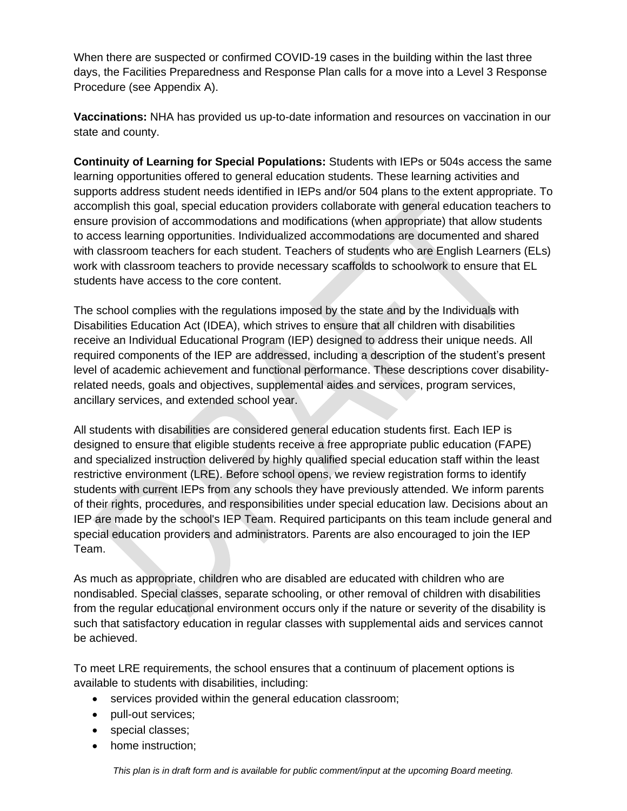When there are suspected or confirmed COVID-19 cases in the building within the last three days, the Facilities Preparedness and Response Plan calls for a move into a Level 3 Response Procedure (see Appendix A).

**Vaccinations:** NHA has provided us up-to-date information and resources on vaccination in our state and county.

**Continuity of Learning for Special Populations:** Students with IEPs or 504s access the same learning opportunities offered to general education students. These learning activities and supports address student needs identified in IEPs and/or 504 plans to the extent appropriate. To accomplish this goal, special education providers collaborate with general education teachers to ensure provision of accommodations and modifications (when appropriate) that allow students to access learning opportunities. Individualized accommodations are documented and shared with classroom teachers for each student. Teachers of students who are English Learners (ELs) work with classroom teachers to provide necessary scaffolds to schoolwork to ensure that EL students have access to the core content.

The school complies with the regulations imposed by the state and by the Individuals with Disabilities Education Act (IDEA), which strives to ensure that all children with disabilities receive an Individual Educational Program (IEP) designed to address their unique needs. All required components of the IEP are addressed, including a description of the student's present level of academic achievement and functional performance. These descriptions cover disabilityrelated needs, goals and objectives, supplemental aides and services, program services, ancillary services, and extended school year.

All students with disabilities are considered general education students first. Each IEP is designed to ensure that eligible students receive a free appropriate public education (FAPE) and specialized instruction delivered by highly qualified special education staff within the least restrictive environment (LRE). Before school opens, we review registration forms to identify students with current IEPs from any schools they have previously attended. We inform parents of their rights, procedures, and responsibilities under special education law. Decisions about an IEP are made by the school's IEP Team. Required participants on this team include general and special education providers and administrators. Parents are also encouraged to join the IEP Team.

As much as appropriate, children who are disabled are educated with children who are nondisabled. Special classes, separate schooling, or other removal of children with disabilities from the regular educational environment occurs only if the nature or severity of the disability is such that satisfactory education in regular classes with supplemental aids and services cannot be achieved.

To meet LRE requirements, the school ensures that a continuum of placement options is available to students with disabilities, including:

- services provided within the general education classroom;
- pull-out services;
- special classes;
- home instruction:

*This plan is in draft form and is available for public comment/input at the upcoming Board meeting.*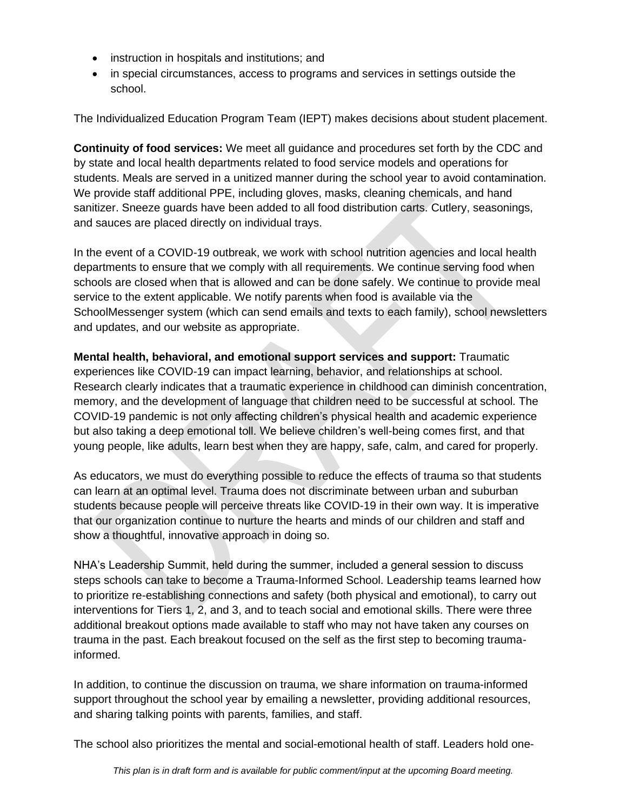- instruction in hospitals and institutions; and
- in special circumstances, access to programs and services in settings outside the school.

The Individualized Education Program Team (IEPT) makes decisions about student placement.

**Continuity of food services:** We meet all guidance and procedures set forth by the CDC and by state and local health departments related to food service models and operations for students. Meals are served in a unitized manner during the school year to avoid contamination. We provide staff additional PPE, including gloves, masks, cleaning chemicals, and hand sanitizer. Sneeze guards have been added to all food distribution carts. Cutlery, seasonings, and sauces are placed directly on individual trays.

In the event of a COVID-19 outbreak, we work with school nutrition agencies and local health departments to ensure that we comply with all requirements. We continue serving food when schools are closed when that is allowed and can be done safely. We continue to provide meal service to the extent applicable. We notify parents when food is available via the SchoolMessenger system (which can send emails and texts to each family), school newsletters and updates, and our website as appropriate.

**Mental health, behavioral, and emotional support services and support:** Traumatic experiences like COVID-19 can impact learning, behavior, and relationships at school. Research clearly indicates that a traumatic experience in childhood can diminish concentration, memory, and the development of language that children need to be successful at school. The COVID-19 pandemic is not only affecting children's physical health and academic experience but also taking a deep emotional toll. We believe children's well-being comes first, and that young people, like adults, learn best when they are happy, safe, calm, and cared for properly.

As educators, we must do everything possible to reduce the effects of trauma so that students can learn at an optimal level. Trauma does not discriminate between urban and suburban students because people will perceive threats like COVID-19 in their own way. It is imperative that our organization continue to nurture the hearts and minds of our children and staff and show a thoughtful, innovative approach in doing so.

NHA's Leadership Summit, held during the summer, included a general session to discuss steps schools can take to become a Trauma-Informed School. Leadership teams learned how to prioritize re-establishing connections and safety (both physical and emotional), to carry out interventions for Tiers 1, 2, and 3, and to teach social and emotional skills. There were three additional breakout options made available to staff who may not have taken any courses on trauma in the past. Each breakout focused on the self as the first step to becoming traumainformed.

In addition, to continue the discussion on trauma, we share information on trauma-informed support throughout the school year by emailing a newsletter, providing additional resources, and sharing talking points with parents, families, and staff.

The school also prioritizes the mental and social-emotional health of staff. Leaders hold one-